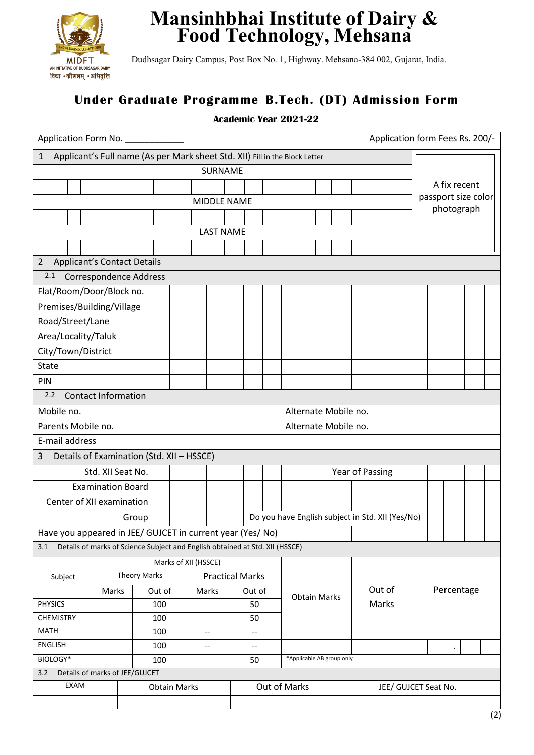

## **Mansinhbhai Institute of Dairy & Food Technology, Mehsana**

Dudhsagar Dairy Campus, Post Box No. 1, Highway. Mehsana-384 002, Gujarat, India.

## **Under Graduate Programme B.Tech. (DT) Admission Form**

## **Academic Year 2021-22**

| Application Form No.                                                                        |                          |       |                     |                      |                                       |       |                          |                                                            |                        |                     |                           |                     |                      |       |        |  | Application form Fees Rs. 200/-                  |            |            |  |  |  |  |
|---------------------------------------------------------------------------------------------|--------------------------|-------|---------------------|----------------------|---------------------------------------|-------|--------------------------|------------------------------------------------------------|------------------------|---------------------|---------------------------|---------------------|----------------------|-------|--------|--|--------------------------------------------------|------------|------------|--|--|--|--|
| Applicant's Full name (As per Mark sheet Std. XII) Fill in the Block Letter<br>$\mathbf{1}$ |                          |       |                     |                      |                                       |       |                          |                                                            |                        |                     |                           |                     |                      |       |        |  |                                                  |            |            |  |  |  |  |
| SURNAME                                                                                     |                          |       |                     |                      |                                       |       |                          |                                                            |                        |                     |                           |                     |                      |       |        |  |                                                  |            |            |  |  |  |  |
|                                                                                             |                          |       |                     |                      |                                       |       |                          |                                                            |                        |                     |                           |                     | A fix recent         |       |        |  |                                                  |            |            |  |  |  |  |
| <b>MIDDLE NAME</b>                                                                          |                          |       |                     |                      |                                       |       |                          |                                                            |                        |                     |                           | passport size color |                      |       |        |  |                                                  |            |            |  |  |  |  |
|                                                                                             |                          |       |                     |                      |                                       |       |                          |                                                            |                        |                     |                           |                     |                      |       |        |  |                                                  | photograph |            |  |  |  |  |
|                                                                                             |                          |       |                     |                      |                                       |       | <b>LAST NAME</b>         |                                                            |                        |                     |                           |                     |                      |       |        |  |                                                  |            |            |  |  |  |  |
|                                                                                             |                          |       |                     |                      |                                       |       |                          |                                                            |                        |                     |                           |                     |                      |       |        |  |                                                  |            |            |  |  |  |  |
| $\overline{2}$<br><b>Applicant's Contact Details</b>                                        |                          |       |                     |                      |                                       |       |                          |                                                            |                        |                     |                           |                     |                      |       |        |  |                                                  |            |            |  |  |  |  |
| 2.1<br><b>Correspondence Address</b>                                                        |                          |       |                     |                      |                                       |       |                          |                                                            |                        |                     |                           |                     |                      |       |        |  |                                                  |            |            |  |  |  |  |
| Flat/Room/Door/Block no.                                                                    |                          |       |                     |                      |                                       |       |                          |                                                            |                        |                     |                           |                     |                      |       |        |  |                                                  |            |            |  |  |  |  |
| Premises/Building/Village                                                                   |                          |       |                     |                      |                                       |       |                          |                                                            |                        |                     |                           |                     |                      |       |        |  |                                                  |            |            |  |  |  |  |
| Road/Street/Lane                                                                            |                          |       |                     |                      |                                       |       |                          |                                                            |                        |                     |                           |                     |                      |       |        |  |                                                  |            |            |  |  |  |  |
| Area/Locality/Taluk                                                                         |                          |       |                     |                      |                                       |       |                          |                                                            |                        |                     |                           |                     |                      |       |        |  |                                                  |            |            |  |  |  |  |
| City/Town/District                                                                          |                          |       |                     |                      |                                       |       |                          |                                                            |                        |                     |                           |                     |                      |       |        |  |                                                  |            |            |  |  |  |  |
| <b>State</b>                                                                                |                          |       |                     |                      |                                       |       |                          |                                                            |                        |                     |                           |                     |                      |       |        |  |                                                  |            |            |  |  |  |  |
| PIN                                                                                         |                          |       |                     |                      |                                       |       |                          |                                                            |                        |                     |                           |                     |                      |       |        |  |                                                  |            |            |  |  |  |  |
| 2.2<br><b>Contact Information</b>                                                           |                          |       |                     |                      |                                       |       |                          |                                                            |                        |                     |                           |                     |                      |       |        |  |                                                  |            |            |  |  |  |  |
| Mobile no.                                                                                  |                          |       |                     | Alternate Mobile no. |                                       |       |                          |                                                            |                        |                     |                           |                     |                      |       |        |  |                                                  |            |            |  |  |  |  |
| Parents Mobile no.                                                                          |                          |       |                     | Alternate Mobile no. |                                       |       |                          |                                                            |                        |                     |                           |                     |                      |       |        |  |                                                  |            |            |  |  |  |  |
| E-mail address                                                                              |                          |       |                     |                      |                                       |       |                          |                                                            |                        |                     |                           |                     |                      |       |        |  |                                                  |            |            |  |  |  |  |
| Details of Examination (Std. XII - HSSCE)<br>3                                              |                          |       |                     |                      |                                       |       |                          |                                                            |                        |                     |                           |                     |                      |       |        |  |                                                  |            |            |  |  |  |  |
|                                                                                             | Std. XII Seat No.        |       |                     | Year of Passing      |                                       |       |                          |                                                            |                        |                     |                           |                     |                      |       |        |  |                                                  |            |            |  |  |  |  |
|                                                                                             | <b>Examination Board</b> |       |                     |                      |                                       |       |                          |                                                            |                        |                     |                           |                     |                      |       |        |  |                                                  |            |            |  |  |  |  |
| Center of XII examination                                                                   |                          |       |                     |                      |                                       |       |                          |                                                            |                        |                     |                           |                     |                      |       |        |  |                                                  |            |            |  |  |  |  |
|                                                                                             |                          | Group |                     |                      |                                       |       |                          |                                                            |                        |                     |                           |                     |                      |       |        |  | Do you have English subject in Std. XII (Yes/No) |            |            |  |  |  |  |
|                                                                                             |                          |       |                     |                      |                                       |       |                          | Have you appeared in JEE/ GUJCET in current year (Yes/ No) |                        |                     |                           |                     |                      |       |        |  |                                                  |            |            |  |  |  |  |
| Details of marks of Science Subject and English obtained at Std. XII (HSSCE)<br>3.1         |                          |       |                     |                      |                                       |       |                          |                                                            |                        |                     |                           |                     |                      |       |        |  |                                                  |            |            |  |  |  |  |
|                                                                                             |                          |       |                     | Marks of XII (HSSCE) |                                       |       |                          |                                                            |                        |                     |                           |                     |                      |       |        |  |                                                  |            |            |  |  |  |  |
| Subject                                                                                     |                          |       | <b>Theory Marks</b> |                      |                                       |       |                          |                                                            | <b>Practical Marks</b> |                     |                           |                     |                      |       |        |  |                                                  |            |            |  |  |  |  |
|                                                                                             | Marks                    |       | Out of              |                      |                                       | Marks |                          |                                                            | Out of                 |                     |                           |                     |                      |       | Out of |  |                                                  |            | Percentage |  |  |  |  |
| <b>PHYSICS</b>                                                                              |                          |       | 100                 |                      |                                       |       |                          | 50                                                         |                        | <b>Obtain Marks</b> |                           |                     |                      | Marks |        |  |                                                  |            |            |  |  |  |  |
| <b>CHEMISTRY</b>                                                                            |                          |       | 100                 |                      |                                       |       |                          | 50                                                         |                        |                     |                           |                     |                      |       |        |  |                                                  |            |            |  |  |  |  |
| <b>MATH</b>                                                                                 |                          |       | 100                 |                      | $\hspace{0.05cm}$ – $\hspace{0.05cm}$ |       |                          | $-\!$ –                                                    |                        |                     |                           |                     |                      |       |        |  |                                                  |            |            |  |  |  |  |
| ENGLISH                                                                                     |                          |       | 100                 | --                   |                                       |       | $\hspace{0.05cm} \dashv$ |                                                            |                        |                     |                           |                     |                      |       |        |  |                                                  |            | $\bullet$  |  |  |  |  |
| BIOLOGY*                                                                                    |                          |       |                     | 100                  |                                       |       |                          |                                                            | 50                     |                     | *Applicable AB group only |                     |                      |       |        |  |                                                  |            |            |  |  |  |  |
| Details of marks of JEE/GUJCET<br>3.2<br>EXAM                                               |                          |       |                     |                      |                                       |       |                          |                                                            |                        |                     |                           |                     |                      |       |        |  |                                                  |            |            |  |  |  |  |
|                                                                                             | <b>Obtain Marks</b>      |       |                     |                      |                                       |       |                          |                                                            | Out of Marks           |                     |                           |                     | JEE/ GUJCET Seat No. |       |        |  |                                                  |            |            |  |  |  |  |
|                                                                                             |                          |       |                     |                      |                                       |       |                          |                                                            |                        |                     |                           |                     |                      |       |        |  |                                                  |            |            |  |  |  |  |